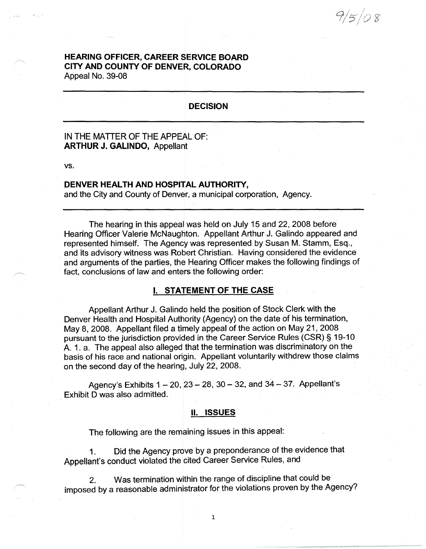$9/5/08$ 

# **HEARING OFFICER, CAREER SERVICE BOARD CITY AND COUNTY OF DENVER, COLORADO**  Appeal No. 39-08

# **DECISION**

# IN THE MATTER OF THE APPEAL OF: **ARTHUR J. GALINDO,** Appellant

**vs.** 

# **DENVER HEALTH AND HOSPITAL AUTHORITY,**

and the City and County of Denver, a municipal corporation, Agency.

The hearing in this appeal was held on July 15 and 22, 2008 before Hearing Officer Valerie McNaughton. Appellant Arthur J. Galindo appeared and represented himself. The Agency was represented by Susan M. Stamm, Esq., and its advisory witness was Robert Christian. Having considered the evidence and arguments of the parties, the Hearing Officer makes the following findings of fact, conclusions of law and enters the following order:

## I. **STATEMENT OF THE CASE**

Appellant Arthur J. Galindo held the position of Stock Clerk with the Denver Health and Hospital Authority (Agency) on the date of his termination, May 8, 2008. Appellant filed a timely appeal of the action on May 21, 2008 pursuant to the jurisdiction provided in the Career Service Rules (CSR)§ 19-10 A. 1. a. The appeal also alleged that the termination was discriminatory on the basis of his race and national origin. Appellant voluntarily withdrew those claims on the second day of the hearing, July 22, 2008.

Agency's Exhibits  $1 - 20$ ,  $23 - 28$ ,  $30 - 32$ , and  $34 - 37$ . Appellant's Exhibit D was also admitted.

#### II. **ISSUES**

The following are the remaining issues in this appeal:

1. Did the Agency prove by a preponderance of the evidence that Appellant's conduct violated the cited Career Service Rules, and

2. Was termination within the range of discipline that could be imposed by a reasonable administrator for the violations proven by the Agency?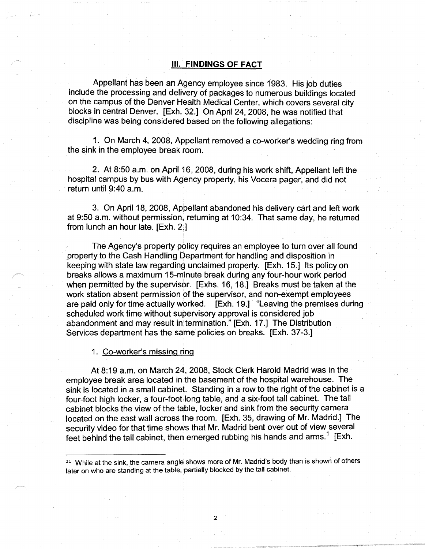### Ill. **FINDINGS OF FACT**

Appellant has been an Agency employee since 1983. His job duties include the processing and delivery of packages to numerous buildings located on the campus of the Denver Health Medical Center, which covers several city blocks in central Denver. [Exh. 32.] On April 24, 2008, he was notified that discipline was being considered based on the following allegations:

1. On March 4, 2008, Appellant removed a co-worker's wedding ring from the sink in the employee break room.

2. At 8:50 a.m. on April 16, 2008, during his work shift, Appellant left the hospital campus by bus with Agency property, his Vocera pager, and did not return until 9:40 a.m.

3. On April 18, 2008, Appellant abandoned his delivery cart and left work at 9:50 a.m. without permission, returning at 10:34. That same day, he returned from lunch an hour late. [Exh. 2.]

The Agency's property policy requires an employee to turn over all found property to the Cash Handling Department for handling and disposition in keeping with state law regarding unclaimed property. [Exh. 15.] Its policy on breaks allows a maximum 15-minute break during any four-hour work period when permitted by the supervisor. [Exhs. 16, 18.] Breaks must be taken at the work station absent permission of the supervisor, and non-exempt employees are paid only for time actually worked. [Exh. 19.] "Leaving the premises during scheduled work time without supervisory approval is considered job abandonment and may result in termination." [Exh. 17.] The Distribution Services department has the same policies on breaks. [Exh. 37-3.]

1. Co-worker's missing ring

At8:19 a.m. on March 24, 2008, Stock Clerk Harold Madrid was in the employee break area located in the basement of the hospital warehouse. The sink is located in a small cabinet. Standing in a row to the right of the cabinet is a four-foot high locker, a four-foot long table, and a six-foot tall cabinet. The tall cabinet blocks the view of the table, locker and sink from the security camera located on the east wall across the room. [Exh. 35, drawing of Mr. Madrid.] The security video for that time shows that Mr. Madrid bent over out of view several feet behind the tall cabinet, then emerged rubbing his hands and arms.<sup>1</sup> [Exh.

 $\overline{2}$ 

<sup>&</sup>lt;sup>11</sup> While at the sink, the camera angle shows more of Mr. Madrid's body than is shown of others later on who are standing at the table, partially blocked by the tall cabinet.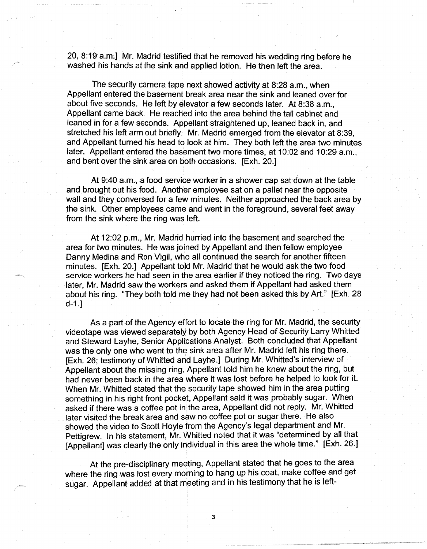20, 8:19 a.m.] Mr. Madrid testified that he removed his wedding ring before he washed his hands at the sink and applied lotion. He then left the area.

The security camera tape next showed activity at 8:28 a.m., when Appellant entered the basement break area near the sink and leaned over for about five seconds. He left by elevator a few seconds later. At 8:38 a.m., Appellant came back. He reached into the area behind the tall cabinet and leaned in for a few seconds. Appellant straightened up, leaned back in, and stretched his left arm out briefly. Mr. Madrid emerged from the elevator at 8:39, and Appellant turned his head to look at him. They both left the area two minutes later. Appellant entered the basement two more times, at 10:02 and 10:29 a.m., and bent over the sink area on both occasions. [Exh. 20.]

At 9:40 a.m., a food service worker in a shower cap sat down at the table and brought out his food. Another employee sat on a pallet near the opposite wall and they conversed for a few minutes. Neither approached the back area by the sink. Other employees came and went in the foreground, several feet away from the sink where the ring was left.

At 12:02 p.m., Mr. Madrid hurried into the basement and searched the area for two minutes. He was joined by Appellant and then fellow employee Danny Medina and Ron Vigil, who all continued the search for another fifteen minutes. [Exh. 20.] Appellant told Mr. Madrid that he would ask the two food service workers he had seen in the area earlier if they noticed the ring. Two days later, Mr. Madrid saw the workers and asked them if Appellant had asked them about his ring. "They both told me they had not been asked this by Art." [Exh. 28 d-1.]

As a part of the Agency effort to locate the ring for Mr. Madrid, the security videotape was viewed separately by both Agency Head of Security Larry Whitted and Steward Layhe, Senior Applications Analyst. Both concluded that Appellant was the only one who went to the sink area after Mr. Madrid left his ring there. [Exh. 26; testimony of Whitted and Layhe.] During Mr. Whitted's interview of Appellant about the missing ring, Appellant told him he knew about the ring, but had never been back in the area where it was lost before he helped to look for it. When Mr. Whitted stated that the security tape showed him in the area putting something in his right front pocket, Appellant said it was probably sugar. When asked if there was a coffee pot in the area, Appellant did not reply. Mr. Whitted later visited the break area and saw no coffee pot or sugar there. He also showed the video to Scott Hoyle from the Agency's legal department and Mr. Pettigrew. In his statement, Mr. Whitted noted that it was "determined by all that [Appellant] was clearly the only individual in this area the whole time." [Exh. 26.]

At the pre-disciplinary meeting, Appellant stated that he goes to the area where the ring was lost every morning to hang up his coat, make coffee and get sugar. Appellant added at that meeting and in his testimony that he is left-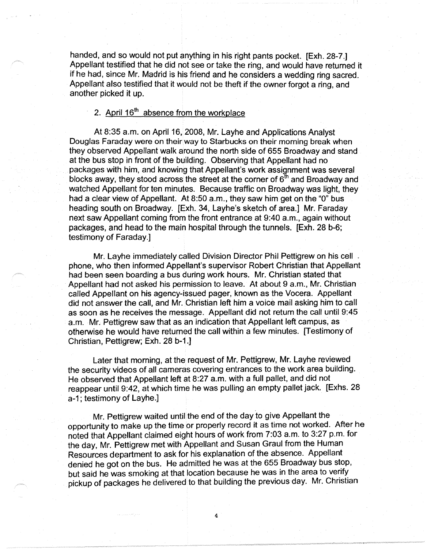handed, and so would not put anything in his right pants pocket. [Exh. 28-7.] Appellant testified that he did not see or take the ring, and would have returned it if he had, since Mr. Madrid is his friend and he considers a wedding ring sacred. Appellant also testified that it would not be theft if the owner forgot a ring, and another picked it up.

# 2. April  $16<sup>th</sup>$  absence from the workplace

At 8:35 a.m. on April 16, 2008, Mr. Layhe and Applications Analyst Douglas Faraday were on their way to Starbucks on their morning break when they observed Appellant walk around the north side of 655 Broadway and stand at the bus stop in front of the building. Observing that Appellant had no packages with him, and knowing that Appellant's work assignment was several blocks away, they stood across the street at the corner of  $6<sup>th</sup>$  and Broadway and watched Appellant for ten minutes. Because traffic on Broadway was light, they had a clear view of Appellant. At 8:50 a.m., they saw him get on the "O" bus heading south on Broadway. [Exh. 34, Layhe's sketch of area.] Mr. Faraday next saw Appellant coming from the front entrance at 9:40 a.m., again without packages, and head to the main hospital through the tunnels. [Exh. 28 b-6; testimony of Faraday.]

Mr. Layhe immediately called Division Director Phil Pettigrew on his cell. phone, who then informed Appellant's supervisor Robert Christian that Appellant had been seen boarding a bus during work hours. Mr. Christian stated that Appellant had not asked his permission to leave. At about 9 a.m., Mr. Christian called Appellant on his agency-issued pager, known as the Vocera. Appellant did not answer the call, and Mr. Christian left him a voice mail asking him to call as soon as he receives the message. Appellant did not return the call until 9:45 a.m. Mr. Pettigrew saw that as an indication that Appellant left campus, as otherwise he would have returned the call within a few minutes. [Testimony of Christian, Pettigrew; Exh. 28 b-1.]

Later that morning, at the request of Mr. Pettigrew, Mr. Layhe reviewed the security videos of all cameras covering entrances to the work area building. He observed that Appellant left at 8:27 a.m. with a full pallet, and did not reappear until 9:42, at which time he was pulling an empty pallet jack. [Exhs. 28 a-1; testimony of Layhe.]

Mr. Pettigrew waited until the end of the day to give Appellant the opportunity to make up the time or properly record it as time not worked. After he noted that Appellant claimed eight hours of work from 7:03 a.m. to 3:27 p.m. for the day, Mr. Pettigrew met with Appellant and Susan Graul from the Human Resources department to ask for his explanation of the absence. Appellant denied he got on the bus. He admitted he was at the 655 Broadway bus stop, but said he was smoking at that location because he was in the area to verify pickup of packages he delivered to that building the previous day. Mr. Christian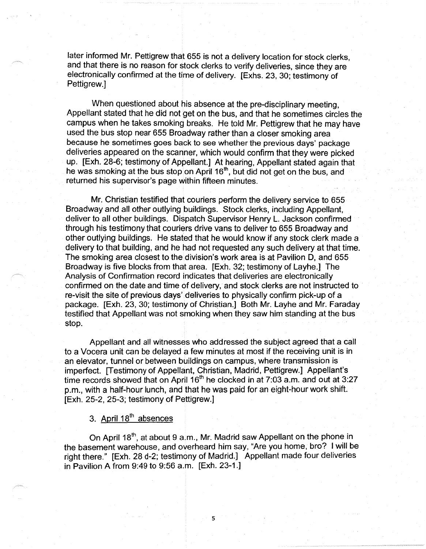later informed Mr. Pettigrew that 655 is not a delivery location for stock clerks, and that there is no reason for stock clerks to verify deliveries, since they are electronically confirmed at the time of delivery. [Exhs. 23, 30; testimony of Pettigrew.]

When questioned about his absence at the pre-disciplinary meeting, Appellant stated that he did not get on the bus, and that he sometimes circles the campus when he takes smoking breaks. He told Mr. Pettigrew that he may have used the bus stop near 655 Broadway rather than a closer smoking area because he sometimes goes back to see whether the previous days' package deliveries appeared on the scanner, which would confirm that they were picked up. [Exh. 28-6; testimony of Appellant.] At hearing, Appellant stated again that he was smoking at the bus stop on April 16<sup>th</sup>, but did not get on the bus, and returned his supervisor's page within fifteen minutes.

Mr. Christian testified that couriers perform the delivery service to 655 Broadway and all other outlying buildings. Stock clerks, including Appellant, deliver to all other buildings. Dispatch Supervisor Henry L. Jackson confirmed through his testimony that couriers drive vans to deliver to 655 Broadway and other outlying buildings. He stated that he would know if any stock clerk made a delivery to that building, and he had not requested any such delivery at that time. The smoking area closest to the division's work area is at Pavilion D, and 655 Broadway is five blocks from that area. [Exh. 32; testimony of Layhe.] The Analysis of Confirmation record indicates that deliveries are electronically confirmed on the date and time of delivery, and stock clerks are not instructed to re-visit the site of previous days' deliveries to physically confirm pick-up of a package. [Exh. 23, 30; testimony of Christian.] Both Mr. Layhe and Mr. Faraday testified that Appellant was not smoking when they saw him standing at the bus stop.

Appellant and all witnesses who addressed the subject agreed that a call to a Vocera unit can be delayed a few minutes at most if the receiving unit is in an elevator, tunnel or between buildings on campus, where transmission is imperfect. [Testimony of Appellant, Christian, Madrid, Pettigrew.] Appellant's time records showed that on April  $16<sup>th</sup>$  he clocked in at 7:03 a.m. and out at 3:27 p.m., with a half-hour lunch, and that he was paid for an eight-hour work shift. [Exh. 25-2, 25-3; testimony of Pettigrew.]

# 3. April 18<sup>th</sup> absences

On April 18<sup>th</sup>, at about 9 a.m., Mr. Madrid saw Appellant on the phone in the basement warehouse, and overheard him say, "Are you home, bro? I will be right there." [Exh. 28 d-2; testimony of Madrid.] Appellant made four deliveries in Pavilion A from 9:49 to 9:56 a.m. [Exh. 23-1.]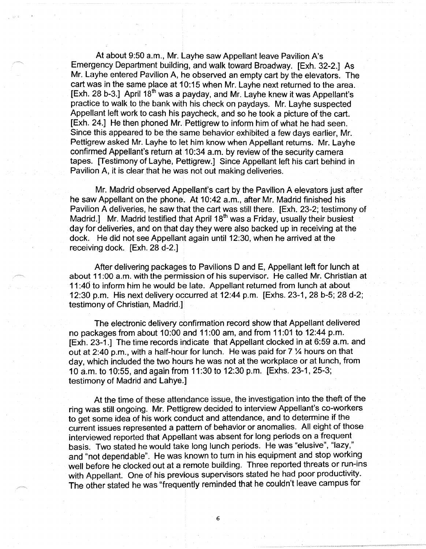At about 9:50 a.m., Mr. Layhe saw Appellant leave Pavilion A's Emergency Department building, and walk toward Broadway. [Exh. 32-2.] As Mr. Layhe entered Pavilion A, he observed an empty cart by the elevators. The cart was in the same place at 10:15 when Mr. Layhe next returned to the area. [Exh. 28 b-3.] April 18<sup>th</sup> was a payday, and Mr. Layhe knew it was Appellant's practice to walk to the bank with his check on paydays. Mr. Layhe suspected Appellant left work to cash his paycheck, and so he took a picture of the cart. [Exh. 24.] He then phoned Mr. Pettigrew to inform him of what he had seen. Since this appeared to be the same behavior exhibited a few days earlier, Mr. Pettigrew asked Mr. Layhe to let him know when Appellant returns. Mr. Layhe confirmed Appellant's return at 10:34 a.m. by review of the security camera tapes. [Testimony of Layhe, Pettigrew.] Since Appellant left his cart behind in Pavilion A, it is clear that he was not out making deliveries.

Mr. Madrid observed Appellant's cart by the Pavilion A elevators just after he saw Appellant on the phone. At 10:42 a.m., after Mr. Madrid finished his Pavilion A deliveries, he saw that the cart was still there. [Exh. 23-2; testimony of Madrid.] Mr. Madrid testified that April 18<sup>th</sup> was a Friday, usually their busiest day for deliveries, and on that day they were also backed up in receiving at the dock. He did not see Appellant again until 12:30, when he arrived at the receiving dock. [Exh. 28 d-2.]

After delivering packages to Pavilions D and E, Appellant left for lunch at about 11 :00 a.m. with the permission of his supervisor. He called Mr. Christian at 11 :40 to inform him he would be late. Appellant returned from lunch at about 12:30 p.m. His next delivery occurred at 12:44 p.m. [Exhs. 23-1, 28 b-5; 28 d-2; testimony of Christian, Madrid.]

The electronic delivery confirmation record show that Appellant delivered no packages from about 10:00 and 11 :00 am, and from 11 :01 to 12:44 p.m. [Exh. 23-1.] The time records indicate that Appellant clocked in at 6:59 a.m. and out at 2:40 p.m., with a half-hour for lunch. He was paid for 7 ¼ hours on that day, which included the two hours he was not at the workplace or at lunch, from 1 O a.m. to 10:55, and again from 11 :30 to 12:30 p.m. [Exhs. 23-1, 25-3; testimony of Madrid and Lahye.]

At the time of these attendance issue, the investigation into the theft of the ring was still ongoing. Mr. Pettigrew decided to interview Appellant's co-workers to get some idea of his work conduct and attendance, and to determine if the current issues represented a pattern of behavior or anomalies. All eight of those interviewed reported that Appellant was absent for long periods on a frequent basis. Two stated he would take long lunch periods. He was "elusive", "lazy," and "not dependable". He was known to turn in his equipment and stop working well before he clocked out at a remote building. Three reported threats or run-ins with Appellant. One of his previous supervisors stated he had poor productivity. The other stated he was "frequently reminded that he couldn't leave campus for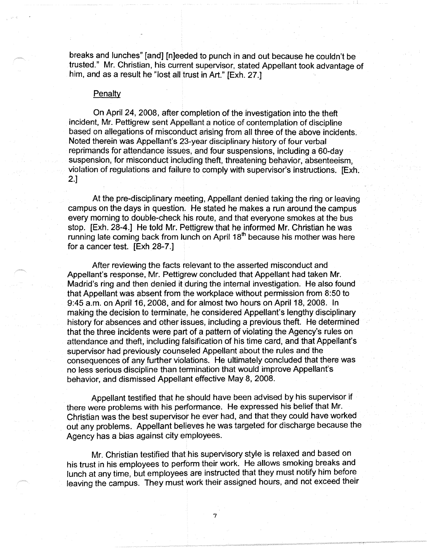breaks and lunches" [and] [n]eeded to punch in and out because he couldn't be trusted." Mr. Christian, his current supervisor, stated Appellant took advantage of him, and as a result he "lost all trust in Art." [Exh. 27.]

### Penalty

On April 24, 2008, after completion of the investigation into the theft incident, Mr. Pettigrew sent Appellant a notice of contemplation of discipline based on allegations of misconduct arising from all three of the above incidents. Noted therein was Appellant's 23-year disciplinary history of four verbal reprimands for attendance issues, and four suspensions, including a 60-day suspension, for misconduct including theft, threatening behavior, absenteeism, violation of regulations and failure to comply with supervisor's instructions. [Exh. 2.]

At the pre-disciplinary meeting, Appellant denied taking the ring or leaving campus on the days in question. He stated he makes a run around the campus every morning to double-check his route, and that everyone smokes at the bus stop. [Exh. 28-4.] He told Mr. Pettigrew that he informed Mr. Christian he was running late coming back from lunch on April  $18<sup>th</sup>$  because his mother was here for a cancer test. [Exh 28-7.]

After reviewing the facts relevant to the asserted misconduct and Appellant's response, Mr. Pettigrew concluded that Appellant had taken Mr. Madrid's ring and then denied it during the internal investigation. He also found that Appellant was absent from the workplace without permission from 8:50 to 9:45 a.m. on April 16, 2008, and for almost two hours on April 18, 2008. In making the decision to terminate, he considered Appellant's lengthy disciplinary history for absences and other issues, including a previous theft. He determined that the three incidents were part of a pattern of violating the Agency's rules on attendance and theft, including falsification of his time card, and that Appellant's supervisor had previously counseled Appellant about the rules and the consequences of any further violations. He ultimately concluded that there was no less serious discipline than termination that would improve Appellant's behavior, and dismissed Appellant effective May 8, 2008.

Appellant testified that he should have been advised by his supervisor if there were problems with his performance. He expressed his belief that Mr. Christian was the best supervisor he ever had, and that they could have worked out any problems. Appellant believes he was targeted for discharge because the Agency has a bias against city employees.

Mr. Christian testified that his supervisory style is relaxed and based on his trust in his employees to perform their work. He allows smoking breaks and lunch at any time, but employees are instructed that they must notify him before leaving the campus. They must work their assigned hours, and not exceed their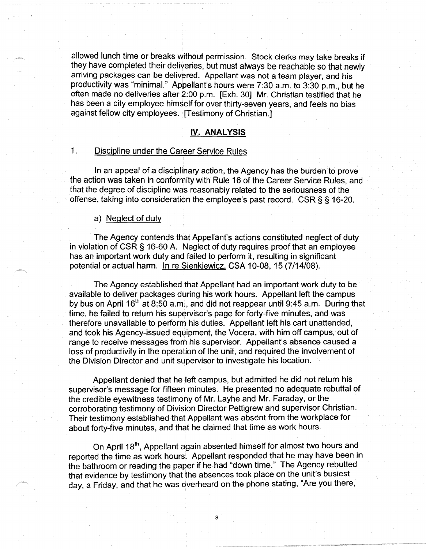allowed lunch time or breaks without permission. Stock clerks may take breaks if they have completed their deliveries, but must always be reachable so that newly arriving packages can be delivered. Appellant was not a team player, and his productivity was "minimal." Appellant's hours were 7:30 a.m. to 3:30 p.m., but he often made no deliveries after 2:00 p.m. [Exh. 30] Mr. Christian testified that he has been a city employee himself for over thirty-seven years, and feels no bias against fellow city employees. [Testimony of Christian.]

# **IV. ANALYSIS**

# 1. Discipline under the Career Service Rules

In an appeal of a disciplinary action, the Agency has the burden to prove the action was taken in conformity with Rule 16 of the Career Service Rules, and that the degree of discipline was reasonably related to the seriousness of the offense, taking into consideration the employee's past record. CSR§ § 16-20.

# a) Neglect of duty

The Agency contends that Appellant's actions constituted neglect of duty in violation of CSR § 16-60 A. Neglect of duty requires proof that an employee has an important work duty and failed to perform it, resulting in significant potential or actual harm. In re Sienkiewicz, CSA 10-08, 15 (7/14/08).

The Agency established that Appellant had an important work duty to be available to deliver packages during his work hours. Appellant left the campus by bus on April 16<sup>th</sup> at 8:50 a.m., and did not reappear until 9:45 a.m. During that time, he failed to return his supervisor's page for forty-five minutes, and was therefore unavailable to perform his duties. Appellant left his cart unattended, and took his Agency-issued equipment, the Vocera, with him off campus, out of range to receive messages from his supervisor. Appellant's absence caused a loss of productivity in the operation of the unit, and required the involvement of the Division Director and unit supervisor to investigate his location.

Appellant denied that he left campus, but admitted he did not return his supervisor's message for fifteen minutes. He presented no adequate rebuttal of the credible eyewitness testimony of Mr. Layhe and Mr. Faraday, or the corroborating testimony of Division Director Pettigrew and supervisor Christian. Their testimony established that Appellant was absent from the workplace for about forty-five minutes, and that he claimed that time as work hours.

On April 18<sup>th</sup>, Appellant again absented himself for almost two hours and reported the time as work hours. Appellant responded that he may have been in the bathroom or reading the paper if he had "down time." The Agency rebutted that evidence by testimony that the absences took place on the unit's busiest day, a Friday, and that he was overheard on the phone stating, "Are you there,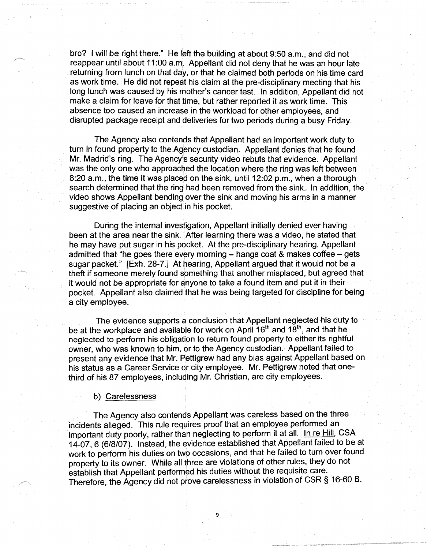bro? I will be right there." He left the building at about 9:50 a.m., and did not reappear until about 11 :00 a.m. Appellant did not deny that he was an hour late returning from lunch on that day, or that he claimed both periods on his time card as work time. He did not repeat his claim at the pre-disciplinary meeting that his long lunch was caused by his mother's cancer test. In addition, Appellant did not make a claim for leave for that time, but rather reported it as work time. This absence too caused an increase in the workioad for other employees, and disrupted package receipt and deliveries for two periods during a busy Friday.

The Agency also contends that Appellant had an important work duty to turn in found property to the Agency custodian. Appellant denies that he found Mr. Madrid's ring. The Agency's security video rebuts that evidence. Appellant was the only one who approached the location where the ring was left between 8:20 a.m., the time it was placed on the sink, until 12:02 p.m., when a thorough search determined that the ring had been removed from the sink. In addition, the video shows Appellant bending over the sink and moving his arms in a manner suggestive of placing an object in his pocket.

During the internal investigation, Appellant initially denied ever having been at the area near the sink. After learning there was a video, he stated that he may have put sugar in his pocket. At the pre-disciplinary hearing, Appellant admitted that "he goes there every morning  $-$  hangs coat & makes coffee  $-$  gets sugar packet." [Exh. 28-7.] At hearing, Appellant argued that it would not be a theft if someone merely found something that another misplaced, but agreed that it would not be appropriate for anyone to take a found item and put it in their pocket. Appellant also claimed that he was being targeted for discipline for being a city employee.

The evidence supports a conclusion that Appellant neglected his duty to be at the workplace and available for work on April  $16<sup>th</sup>$  and  $18<sup>th</sup>$ , and that he neglected to perform his obligation to return found property to either its rightful owner, who was known to him, or to the Agency custodian. Appellant failed to present any evidence that Mr. Pettigrew had any bias against Appellant based on his status as a Career Service or city employee. Mr. Pettigrew noted that onethird of his 87 employees, including Mr. Christian, are city employees.

#### b) Carelessness

The Agency also contends Appellant was careless based on the three incidents alleged. This rule requires proof that an employee performed an important duty poorly, rather than neglecting to perform it at all. In re Hill, CSA 14-07, 6 (6/8/07). Instead, the evidence established that Appellant failed to be at work to perform his duties on two occasions, and that he failed to turn over found property to its owner. While all three are violations of other rules, they do not establish that Appellant performed his duties without the requisite care. Therefore, the Agency did not prove carelessness in violation of CSR § 16-60 B.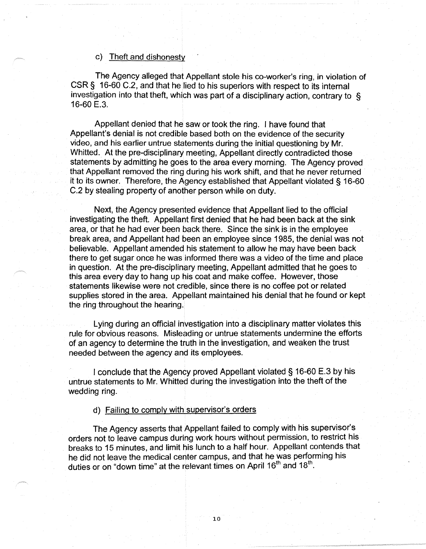#### c) Theft and dishonesty

The Agency alleged that Appellant stole his co-worker's ring, in violation of CSR§ 16-60 C.2, and that he lied to his superiors with respect to its internal investigation into that theft, which was part of a disciplinary action, contrary to § 16-60 E.3.

Appellant denied that he saw or took the ring. I have found that Appellant's denial is not credible based both on the evidence of the security video, and his earlier untrue statements during the initial questioning by Mr. Whitted. At the pre-disciplinary meeting, Appellant directly contradicted those statements by admitting he goes to the area every morning. The Agency proved that Appellant removed the ring during his work shift, and that he never returned it to its owner. Therefore, the Agency established that Appellant violated § 16-60 C.2 by stealing property of another person while on duty.

Next, the Agency presented evidence that Appellant lied to the official investigating the theft. Appellant first denied that he had been back at the sink area, or that he had ever been back there. Since the sink is in the employee break area, and Appellant had been an employee since 1985, the denial was not believable. Appellant amended his statement to allow he may have been back there to get sugar once he was informed there was a video of the time and place in question. At the pre-disciplinary meeting, Appellant admitted that he goes to this area every day to hang up his coat and make coffee. However, those statements likewise were not credible, since there is no coffee pot or related supplies stored in the area. Appellant maintained his denial that he found or kept the ring throughout the hearing.

Lying during an official investigation into a disciplinary matter violates this rule for obvious reasons. Misleading or untrue statements undermine the efforts of an agency to determine the truth in the investigation, and weaken the trust needed between the agency and its employees.

I conclude that the Agency proved Appellant violated § 16-60 E.3 by his untrue statements to Mr. Whitted during the investigation into the theft of the wedding ring.

d) Failing to comply with supervisor's orders

The Agency asserts that Appellant failed to comply with his supervisor's orders not to leave campus during work hours without permission, to restrict his breaks to 15 minutes, and limit his lunch to a half hour. Appellant contends that he did not leave the medical center campus, and that he was performing his duties or on "down time" at the relevant times on April 16<sup>th</sup> and 18<sup>th</sup>.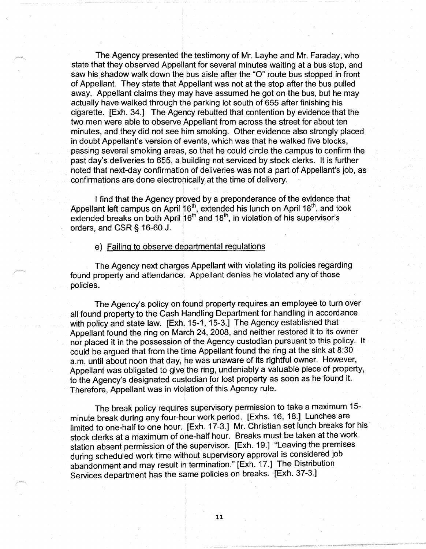The Agency presented the testimony of Mr. Layhe and Mr. Faraday, who state that they observed Appellant for several minutes waiting at a bus stop, and saw his shadow walk down the bus aisle after the "O" route bus stopped in front of Appellant. They state that Appellant was not at the stop after the bus pulled away. Appellant claims they may have assumed he got on the bus, but he may actually have walked through the parking lot south of 655 after finishing his cigarette. [Exh. 34.] The Agency rebutted that contention by evidence that the two men were able to observe Appellant from across the street for about ten minutes, and they did not see him smoking. Other evidence also strongly placed in doubt Appellant's version of events, which was that he walked five blocks, passing several smoking areas, so that he could circle the campus to confirm the past day's deliveries to 655, a building not serviced by stock clerks. It is further noted that next-day confirmation of deliveries was not a part of Appellant's job, as confirmations are done electronically at the time of delivery.

I find that the Agency proved by a preponderance of the evidence that Appellant left campus on April 16<sup>th</sup>, extended his lunch on April 18<sup>th</sup>, and took extended breaks on both April 16<sup>th</sup> and 18<sup>th</sup>, in violation of his supervisor's orders, and CSR§ 16-60 J.

#### e) Failing to observe departmental regulations

The Agency next charges Appellant with violating its policies regarding found property and attendance. Appellant denies he violated any of those policies.

The Agency's policy on found property requires an employee to turn over all found property to the Cash Handling Department for handling in accordance with policy and state law. [Exh. 15-1, 15-3.] The Agency established that Appellant found the ring on March 24, 2008, and neither restored it to its owner nor placed it in the possession of the Agency custodian pursuant to this policy. It could be argued that from the time Appellant found the ring at the sink at 8:30 a.m. until about noon that day, he was unaware of its rightful owner. However, Appellant was obligated to give the ring, undeniably a valuable piece of property, to the Agency's designated custodian for lost property as soon as he found it. Therefore, Appellant was in violation of this Agency rule.

The break policy requires supervisory permission to take a maximum 15 minute break during any four-hour work period. [Exhs. 16, 18.] Lunches are limited to one-half to one hour. [Exh. 17-3.] Mr. Christian set lunch breaks for his· stock clerks at a maximum of one-half hour. Breaks must be taken at the work station absent permission of the supervisor. [Exh. 19.] "Leaving the premises during scheduled work time without supervisory approval is considered job abandonment and may result in termination." [Exh. 17.] The Distribution Services department has the same policies on breaks. [Exh. 37-3.]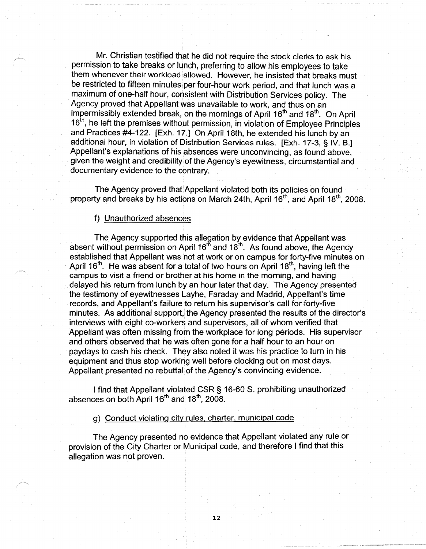Mr. Christian testified that he did not require the stock clerks to ask his permission to take breaks or lunch, preferring to allow his employees to take them whenever their workload allowed. However, he insisted that breaks must be restricted to fifteen minutes per four-hour work period, and that lunch was a maximum of one-half hour, consistent with Distribution Services policy. The Agency proved that Appellant was unavailable to work, and thus on an impermissibly extended break, on the mornings of April 16<sup>th</sup> and 18<sup>th</sup>. On April 16<sup>th</sup>, he left the premises without permission, in violation of Employee Principles and Practices #4-122. [Exh. 17.] On April 18th, he extended his lunch by an additional hour, in violation of Distribution Services rules. [Exh. 17-3, § IV. B.] Appellant's explanations of his absences were unconvincing, as found above, given the weight and credibility of the Agency's eyewitness, circumstantial and documentary evidence to the contrary.

The Agency proved that Appellant violated both its policies on found property and breaks by his actions on March 24th, April 16<sup>th</sup>, and April 18<sup>th</sup>, 2008.

### f) Unauthorized absences

The Agency supported this allegation by evidence that Appellant was absent without permission on April 16<sup>th</sup> and 18<sup>th</sup>. As found above, the Agency established that Appellant was not at work or on campus for forty-five minutes on April 16<sup>th</sup>. He was absent for a total of two hours on April 18<sup>th</sup>, having left the campus to visit a friend or brother at his home in the morning, and having delayed his return from lunch by an hour later that day. The Agency presented the testimony of eyewitnesses Layhe, Faraday and Madrid, Appellant's time records, and Appellant's failure to return his supervisor's call for forty-five minutes. As additional support, the Agency presented the results of the director's interviews with eight co-workers and supervisors, all of whom verified that Appellant was often missing from the workplace for long periods. His supervisor and others observed that he was often gone for a half hour to an hour on paydays to cash his check. They also noted it was his practice to turn in his equipment and thus stop working well before clocking out on most days. Appellant presented no rebuttal of the Agency's convincing evidence.

I find that Appellant violated CSR§ 16-60 S. prohibiting unauthorized absences on both April  $16<sup>th</sup>$  and  $18<sup>th</sup>$ , 2008.

g) Conduct violating city rules, charter, municipal code

The Agency presented no evidence that Appellant violated any rule or provision of the City Charter or Municipal code, and therefore I find that this allegation was not proven.